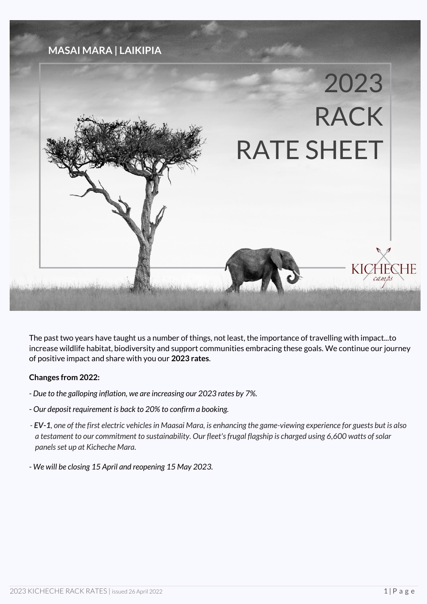## **MASAI MARA | LAIKIPIA**



The past two years have taught us a number of things, not least, the importance of travelling with impact...to increase wildlife habitat, biodiversity and support communities embracing these goals. We continue our journey of positive impact and share with you our **2023 rates**.

#### **Changes from 2022:**

- *- Due to the galloping inflation, we are increasing our 2023 rates by 7%.*
- *Our deposit requirement is back to 20% to confirm a booking.*
- *- EV-1, one of the first electric vehicles in Maasai Mara, is enhancing the game-viewing experience for guests but is also a testament to our commitment to sustainability. Our fleet's frugal flagship is charged using 6,600 watts of solar panels set up at Kicheche Mara.*
- *- We will be closing 15 April and reopening 15 May 2023.*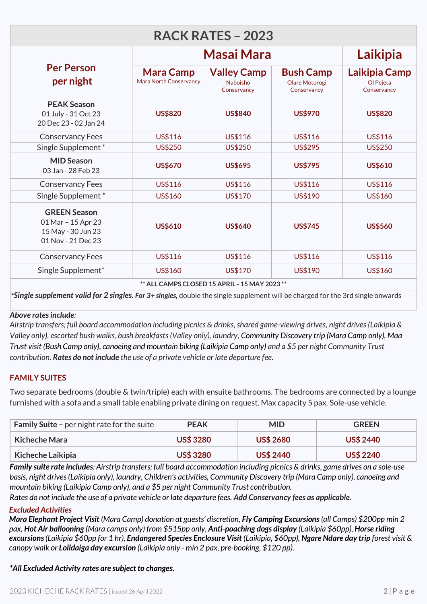|                                                                                       |                                            | Masai Mara                                    |                                                   |                                           |  |  |
|---------------------------------------------------------------------------------------|--------------------------------------------|-----------------------------------------------|---------------------------------------------------|-------------------------------------------|--|--|
| <b>Per Person</b><br>per night                                                        | <b>Mara Camp</b><br>Mara North Conservancy | <b>Valley Camp</b><br>Naboisho<br>Conservancy | <b>Bush Camp</b><br>Olare Motorogi<br>Conservancy | Laikipia Camp<br>Ol Pejeta<br>Conservancy |  |  |
| <b>PEAK Season</b><br>01 July - 31 Oct 23<br>20 Dec 23 - 02 Jan 24                    | <b>US\$820</b>                             | <b>US\$840</b>                                | <b>US\$970</b>                                    | <b>US\$820</b>                            |  |  |
| <b>Conservancy Fees</b>                                                               | US\$116                                    | US\$116                                       | US\$116                                           | US\$116                                   |  |  |
| Single Supplement*                                                                    | US\$250                                    | US\$250                                       | <b>US\$295</b>                                    | US\$250                                   |  |  |
| <b>MID Season</b><br>03 Jan - 28 Feb 23                                               | <b>US\$670</b>                             | <b>US\$695</b>                                | <b>US\$795</b>                                    | <b>US\$610</b>                            |  |  |
| <b>Conservancy Fees</b>                                                               | US\$116                                    | US\$116                                       | US\$116                                           | US\$116                                   |  |  |
| Single Supplement*                                                                    | US\$160                                    | US\$170                                       | US\$190                                           | US\$160                                   |  |  |
| <b>GREEN Season</b><br>01 Mar - 15 Apr 23<br>15 May - 30 Jun 23<br>01 Nov - 21 Dec 23 | <b>US\$610</b>                             | <b>US\$640</b>                                | <b>US\$745</b>                                    | <b>US\$560</b>                            |  |  |
| <b>Conservancy Fees</b>                                                               | US\$116                                    | US\$116                                       | US\$116                                           | US\$116                                   |  |  |
| Single Supplement*                                                                    | US\$160                                    | US\$170                                       | US\$190                                           | US\$160                                   |  |  |

#### *Above rates include:*

*Airstrip transfers; full board accommodation including picnics & drinks, shared game-viewing drives, night drives (Laikipia & Valley only), escorted bush walks, bush breakfasts (Valley only), laundry, Community Discovery trip (Mara Camp only), Maa Trust visit (Bush Camp only), canoeing and mountain biking (Laikipia Camp only) and a \$5 per night Community Trust contribution. Rates do not include the use of a private vehicle or late departure fee.*

#### **FAMILY SUITES**

Two separate bedrooms (double & twin/triple) each with ensuite bathrooms. The bedrooms are connected by a lounge furnished with a sofa and a small table enabling private dining on request. Max capacity 5 pax. Sole-use vehicle.

| <b>Family Suite - per night rate for the suite</b> | <b>PEAK</b>      | <b>MID</b>       | <b>GREEN</b>     |  |
|----------------------------------------------------|------------------|------------------|------------------|--|
| Kicheche Mara                                      | <b>US\$ 3280</b> | <b>US\$ 2680</b> | <b>US\$ 2440</b> |  |
| Kicheche Laikipia                                  | <b>US\$ 3280</b> | <b>US\$ 2440</b> | <b>US\$ 2240</b> |  |

*Family suite rate includes: Airstrip transfers; full board accommodation including picnics & drinks, game drives on a sole-use basis, night drives (Laikipia only), laundry, Children's activities, Community Discovery trip (Mara Camp only), canoeing and mountain biking (Laikipia Camp only), and a \$5 per night Community Trust contribution.*

*Rates do not include the use of a private vehicle or late departure fees. Add Conservancy fees as applicable.*

#### *Excluded Activities*

*Mara Elephant Project Visit (Mara Camp) donation at guests' discretion, Fly Camping Excursions (all Camps) \$200pp min 2 pax, Hot Air ballooning (Mara camps only) from \$515pp only, Anti-poaching dogs display (Laikipia \$60pp), Horse riding excursions(Laikipia \$60pp for 1 hr), Endangered Species Enclosure Visit (Laikipia, \$60pp), Ngare Ndare day trip forest visit & canopy walk or Lolldaiga day excursion (Laikipia only - min 2 pax, pre-booking, \$120 pp).*

*\*All Excluded Activity rates are subject to changes.*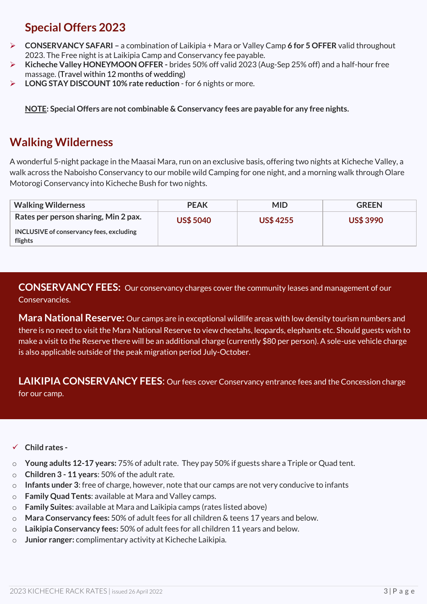# **Special Offers 2023**

- **CONSERVANCY SAFARI –** a combination of Laikipia + Mara or Valley Camp **6 for 5 OFFER** valid throughout 2023. The Free night is at Laikipia Camp and Conservancy fee payable.
- **Kicheche Valley HONEYMOON OFFER -** brides 50% off valid 2023 (Aug-Sep 25% off) and a half-hour free massage. (Travel within 12 months of wedding)
- **LONG STAY DISCOUNT 10% rate reduction** for 6 nights or more.

**NOTE: Special Offers are not combinable & Conservancy fees are payable for any free nights.** 

# **Walking Wilderness**

A wonderful 5-night package in the Maasai Mara, run on an exclusive basis, offering two nights at Kicheche Valley, a walk across the Naboisho Conservancy to our mobile wild Camping for one night, and a morning walk through Olare Motorogi Conservancy into Kicheche Bush for two nights.

| <b>Walking Wilderness</b>                | <b>PEAK</b>      | <b>MID</b>      | <b>GREEN</b>     |  |
|------------------------------------------|------------------|-----------------|------------------|--|
| Rates per person sharing, Min 2 pax.     | <b>US\$ 5040</b> | <b>US\$4255</b> | <b>US\$ 3990</b> |  |
| INCLUSIVE of conservancy fees, excluding |                  |                 |                  |  |
| flights                                  |                  |                 |                  |  |

**CONSERVANCY FEES:** Our conservancy charges cover the community leases and management of our Conservancies.

**Mara National Reserve:** Our camps are in exceptional wildlife areas with low density tourism numbers and there is no need to visit the Mara National Reserve to view cheetahs, leopards, elephants etc. Should guests wish to make a visit to the Reserve there will be an additional charge (currently \$80 per person). A sole-use vehicle charge is also applicable outside of the peak migration period July-October.

**LAIKIPIA CONSERVANCY FEES:** Our fees cover Conservancy entrance fees and the Concession charge for our camp.

- **Child rates -**
- o **Young adults 12-17 years:** 75% of adult rate. They pay 50% if guests share a Triple or Quad tent.
- o **Children 3 - 11 years**: 50% of the adult rate.
- o **Infants under 3**: free of charge, however, note that our camps are not very conducive to infants
- o **Family Quad Tents**: available at Mara and Valley camps.
- o **Family Suites**: available at Mara and Laikipia camps (rates listed above)
- o **Mara Conservancy fees:** 50% of adult fees for all children & teens 17 years and below.
- o **Laikipia Conservancy fees:** 50% of adult fees for all children 11 years and below.
- o **Junior ranger:** complimentary activity at Kicheche Laikipia.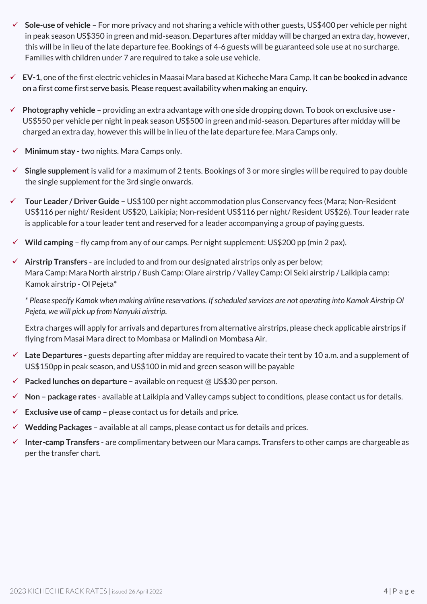- **Sole-use of vehicle** For more privacy and not sharing a vehicle with other guests, US\$400 per vehicle per night in peak season US\$350 in green and mid-season. Departures after midday will be charged an extra day, however, this will be in lieu of the late departure fee. Bookings of 4-6 guests will be guaranteed sole use at no surcharge. Families with children under 7 are required to take a sole use vehicle.
- **EV-1**, one of the first electric vehicles in Maasai Mara based at Kicheche Mara Camp. It can be booked in advance on a first come first serve basis. Please request availability when making an enquiry.
- **Photography vehicle**  providing an extra advantage with one side dropping down. To book on exclusive use US\$550 per vehicle per night in peak season US\$500 in green and mid-season. Departures after midday will be charged an extra day, however this will be in lieu of the late departure fee. Mara Camps only.
- **Minimum stay -** two nights. Mara Camps only.
- **Single supplement** is valid for a maximum of 2 tents. Bookings of 3 or more singles will be required to pay double the single supplement for the 3rd single onwards.
- **Tour Leader / Driver Guide –** US\$100 per night accommodation plus Conservancy fees (Mara; Non-Resident US\$116 per night/ Resident US\$20, Laikipia; Non-resident US\$116 per night/ Resident US\$26). Tour leader rate is applicable for a tour leader tent and reserved for a leader accompanying a group of paying guests.
- $\checkmark$  Wild camping fly camp from any of our camps. Per night supplement: US\$200 pp (min 2 pax).
- **Airstrip Transfers -** are included to and from our designated airstrips only as per below; Mara Camp: Mara North airstrip / Bush Camp: Olare airstrip / Valley Camp: Ol Seki airstrip / Laikipia camp: Kamok airstrip - Ol Pejeta\*

*\* Please specify Kamok when making airline reservations. If scheduled services are not operating into Kamok Airstrip Ol Pejeta, we will pick up from Nanyuki airstrip.* 

Extra charges will apply for arrivals and departures from alternative airstrips, please check applicable airstrips if flying from Masai Mara direct to Mombasa or Malindi on Mombasa Air.

- **Late Departures -** guests departing after midday are required to vacate their tent by 10 a.m. and a supplement of US\$150pp in peak season, and US\$100 in mid and green season will be payable
- **Packed lunches on departure –** available on request @ US\$30 per person.
- **Non – package rates** available at Laikipia and Valley camps subject to conditions, please contact us for details.
- $\checkmark$  **Exclusive use of camp** please contact us for details and price.
- **Wedding Packages**  available at all camps, please contact us for details and prices.
- **Inter-camp Transfers** are complimentary between our Mara camps. Transfers to other camps are chargeable as per the transfer chart.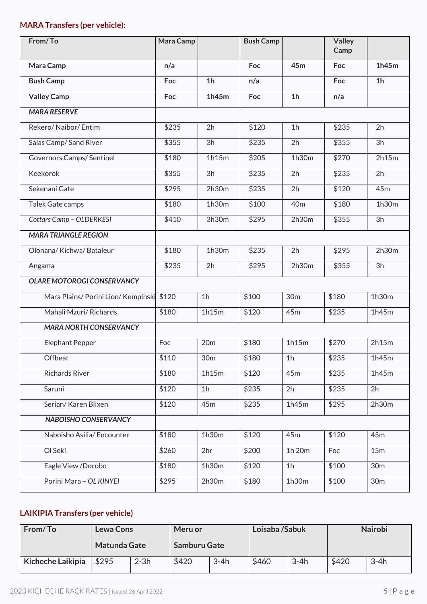## **MARA Transfers (per vehicle):**

| From/To                             | Mara Camp |                 | <b>Bush Camp</b> |                 | <b>Valley</b><br>Camp |                 |
|-------------------------------------|-----------|-----------------|------------------|-----------------|-----------------------|-----------------|
| Mara Camp                           | n/a       |                 | Foc              | 45m             | Foc                   | 1h45m           |
| <b>Bush Camp</b>                    | Foc       | 1 <sub>h</sub>  | n/a              |                 | Foc                   | 1 <sub>h</sub>  |
|                                     | Foc       | 1h45m           | Foc              | 1 <sub>h</sub>  | n/a                   |                 |
| <b>Valley Camp</b>                  |           |                 |                  |                 |                       |                 |
| <b>MARA RESERVE</b>                 |           |                 |                  |                 |                       |                 |
| Rekero/ Naibor/ Entim               | \$235     | 2 <sub>h</sub>  | \$120            | 1 <sub>h</sub>  | \$235                 | 2h              |
| Salas Camp/Sand River               | \$355     | 3h              | \$235            | 2h              | \$355                 | 3h              |
| Governors Camps/ Sentinel           | \$180     | 1h15m           | \$205            | 1h30m           | \$270                 | 2h15m           |
| <b>Keekorok</b>                     | \$355     | 3h              | \$235            | 2h              | \$235                 | 2h              |
| Sekenani Gate                       | \$295     | 2h30m           | \$235            | 2h              | \$120                 | 45 <sub>m</sub> |
| Talek Gate camps                    | \$180     | 1h30m           | \$100            | 40 <sub>m</sub> | \$180                 | 1h30m           |
| Cottars Camp - OLDERKESI            | \$410     | 3h30m           | \$295            | 2h30m           | \$355                 | 3h              |
| <b>MARA TRIANGLE REGION</b>         |           |                 |                  |                 |                       |                 |
| Olonana/ Kichwa/ Bataleur           | \$180     | 1h30m           | \$235            | 2h              | \$295                 | 2h30m           |
| Angama                              | \$235     | 2h              | \$295            | 2h30m           | \$355                 | 3h              |
| <b>OLARE MOTOROGI CONSERVANCY</b>   |           |                 |                  |                 |                       |                 |
| Mara Plains/ Porini Lion/ Kempinski | \$120     | 1 <sub>h</sub>  | \$100            | 30 <sub>m</sub> | \$180                 | 1h30m           |
| Mahali Mzuri/ Richards              | \$180     | 1h15m           | \$120            | 45m             | \$235                 | 1h45m           |
| <b>MARA NORTH CONSERVANCY</b>       |           |                 |                  |                 |                       |                 |
| <b>Elephant Pepper</b>              | Foc       | 20m             | \$180            | 1h15m           | \$270                 | 2h15m           |
| Offbeat                             | \$110     | 30 <sub>m</sub> | \$180            | 1 <sub>h</sub>  | \$235                 | 1h45m           |
| Richards River                      | \$180     | 1h15m           | \$120            | 45 <sub>m</sub> | \$235                 | 1h45m           |
| Saruni                              | \$120     | 1 <sub>h</sub>  | \$235            | 2h              | \$235                 | 2h              |
| Serian/ Karen Blixen                | \$120     | 45 <sub>m</sub> | \$235            | 1h45m           | \$295                 | 2h30m           |
| NABOISHO CONSERVANCY                |           |                 |                  |                 |                       |                 |
| Naboisho Asilia/Encounter           | \$180     | 1h30m           | \$120            | 45 <sub>m</sub> | \$120                 | 45 <sub>m</sub> |
| Ol Seki                             | \$260     | 2hr             | \$200            | 1h 20m          | Foc                   | 15m             |
| Eagle View /Dorobo                  | \$180     | 1h30m           | \$120            | 1 <sub>h</sub>  | \$100                 | 30 <sub>m</sub> |
| Porini Mara - OL KINYEI             | \$295     | 2h30m           | \$180            | 1h30m           | \$100                 | 30 <sub>m</sub> |

## **LAIKIPIA Transfers (per vehicle)**

| From/To           | <b>Lewa Cons</b>    |        | Meru or      |        | Loisaba / Sabuk |        | <b>Nairobi</b> |        |
|-------------------|---------------------|--------|--------------|--------|-----------------|--------|----------------|--------|
|                   | <b>Matunda Gate</b> |        | Samburu Gate |        |                 |        |                |        |
| Kicheche Laikipia | \$295               | $2-3h$ | \$420        | $3-4h$ | \$460           | $3-4h$ | \$420          | $3-4h$ |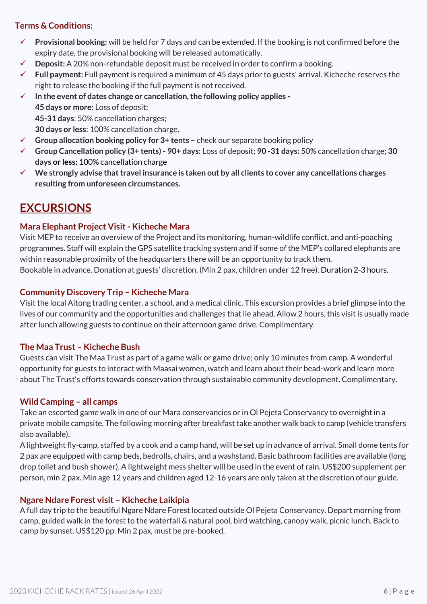## **Terms & Conditions:**

- **Provisional booking:** will be held for 7 days and can be extended. If the booking is not confirmed before the expiry date, the provisional booking will be released automatically.
- **Deposit:** A 20% non-refundable deposit must be received in order to confirm a booking.
- **Full payment:** Full payment is required a minimum of 45 days prior to guests' arrival. Kicheche reserves the right to release the booking if the full payment is not received.
- **In the event of dates change or cancellation, the following policy applies - 45 days or more:** Loss of deposit; **45-31 days**: 50% cancellation charges; **30 days or less**: 100% cancellation charge.
- **Group allocation booking policy for 3+ tents –** check our separate booking policy
- **Group Cancellation policy (3+ tents) - 90+ days:** Loss of deposit; **90 -31 days:** 50% cancellation charge; **30 days or less:** 100% cancellation charge
- **We strongly advise that travel insurance is taken out by all clients to cover any cancellations charges resulting from unforeseen circumstances.**

# **EXCURSIONS**

## **Mara Elephant Project Visit - Kicheche Mara**

Visit MEP to receive an overview of the Project and its monitoring, human-wildlife conflict, and anti-poaching programmes. Staff will explain the GPS satellite tracking system and if some of the MEP's collared elephants are within reasonable proximity of the headquarters there will be an opportunity to track them. Bookable in advance. Donation at guests' discretion. (Min 2 pax, children under 12 free). Duration 2-3 hours.

## **Community Discovery Trip – Kicheche Mara**

Visit the local Aitong trading center, a school, and a medical clinic. This excursion provides a brief glimpse into the lives of our community and the opportunities and challenges that lie ahead. Allow 2 hours, this visit is usually made after lunch allowing guests to continue on their afternoon game drive. Complimentary.

#### **The Maa Trust – Kicheche Bush**

Guests can visit The Maa Trust as part of a game walk or game drive; only 10 minutes from camp. A wonderful opportunity for guests to interact with Maasai women, watch and learn about their bead-work and learn more about The Trust's efforts towards conservation through sustainable community development. Complimentary.

## **Wild Camping – all camps**

Take an escorted game walk in one of our Mara conservancies or in Ol Pejeta Conservancy to overnight in a private mobile campsite. The following morning after breakfast take another walk back to camp (vehicle transfers also available).

A lightweight fly-camp, staffed by a cook and a camp hand, will be set up in advance of arrival. Small dome tents for 2 pax are equipped with camp beds, bedrolls, chairs, and a washstand. Basic bathroom facilities are available (long drop toilet and bush shower). A lightweight mess shelter will be used in the event of rain. US\$200 supplement per person, min 2 pax. Min age 12 years and children aged 12-16 years are only taken at the discretion of our guide.

## **Ngare Ndare Forest visit – Kicheche Laikipia**

A full day trip to the beautiful Ngare Ndare Forest located outside Ol Pejeta Conservancy. Depart morning from camp, guided walk in the forest to the waterfall & natural pool, bird watching, canopy walk, picnic lunch. Back to camp by sunset. US\$120 pp. Min 2 pax, must be pre-booked.